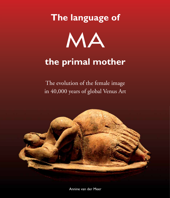# **The language of** MA

# **the primal mother**

The evolution of the female image in 40,000 years of global Venus Art



Annine van der Meer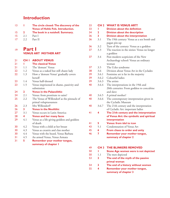## **Introduction**

| -13 |            | <b>I</b> The circle closed: The discovery of the |
|-----|------------|--------------------------------------------------|
|     |            | <b>Venus of Hohle Fels. Introduction.</b>        |
| -15 |            | 2 The book in a nutshell. Summary.               |
| -15 | 2.1        | Part I                                           |
|     | $17 \t2.2$ | - Part II                                        |
|     |            |                                                  |
|     |            |                                                  |

#### **Part I VENUS ART MOTHER ART** 19

| 21 | CH <sub>I</sub> | <b>ABOUT VENUS</b>                         |
|----|-----------------|--------------------------------------------|
| 21 | ш               | <b>The classical Venus</b>                 |
| 21 | 1.1             | The 'demure' Venus                         |
| 22 | 1.2             | Venus as a naked but still chaste lady     |
| 22 | 1.3             | How a 'demure Venus' gradually covers      |
|    |                 | herself                                    |
| 23 | 1.4             | Venus half-dressed                         |
| 23 | 1.5             | Venus imprisoned in shame, passivity and   |
|    |                 | submission                                 |
| 24 | $\mathbf{2}$    | <b>Venus in the Palaeolithic</b>           |
| 24 | 2.1             | Venus: from prostitute to saint?           |
| 25 | 2.2             | The Venus of Willendorf as the pinnacle of |
|    |                 | primal voluptuousness                      |
| 26 | 2.3             | Mrs Willendorf?                            |
| 26 | 3 <sup>1</sup>  | <b>Venus in the Neolithic</b>              |
| 27 | 3.1             | Venus occurs in Latin America              |
| 28 | 4               | <b>Venus and her many faces</b>            |
| 29 | 4.1             | Venus as a life-giving goddess and goddess |
|    |                 | of death                                   |
| 30 | 4.2             | Venus with a child at her breast           |
| 30 | 4.3             | Venus as creatrix and clan mother          |
| 30 | 4.4             | Venus with the beard, Venus Barbata        |
| 31 | 4.5             | An armed Venus, Venus Armata               |
| 31 | 5               | <b>Remember your mother tongue,</b>        |
|    |                 | summary of chapter I                       |

| 33             | CH <sub>2</sub>         | <b>WHAT IS VENUS ART?</b>                                                                     |
|----------------|-------------------------|-----------------------------------------------------------------------------------------------|
| 33             | н                       | <b>Division about the definition</b>                                                          |
| 34             | $\overline{\mathbf{2}}$ | <b>Division about the description</b>                                                         |
| 36             | $\overline{\mathbf{3}}$ | <b>Division about the interpretation</b>                                                      |
| 36             | 3.1                     | The 19th century: Venus as a sex bomb and<br>pagan pin-up                                     |
| 36             | 3.2                     | Turn of the century: Venus as a goddess                                                       |
| 37             | 3.3                     | The reaction in the sixties: Venus no longer<br>a goddess                                     |
| 37             | 3.4                     | Post-modern scepticism of the New                                                             |
|                |                         | Archaeology school: Venus an ordinary<br>woman                                                |
| 37             | 3.5                     | The Ucko syndrome                                                                             |
| 38             | 3.6                     | Division about Venus Art in the Cyclades                                                      |
| 39             | 3.6.1                   | Feminine art is far in the majority                                                           |
| 39             | 3.6.2                   | Colourful ladies                                                                              |
| 39             | 3.6.3                   | The artists                                                                                   |
| 40             | 3.6.4                   | The interpretations in the 19th and<br>20th centuries: From goddess to concubine<br>and slave |
| 40             | 3.6.5                   | A primal mother?                                                                              |
| 40             | 3.6.6                   | The contemporary interpretation given in<br>the Cycladic Museum                               |
| 40             | 3.6.7                   | The 21th century and the interpretation                                                       |
|                |                         | of Cycladic Art: important ladies                                                             |
| 4 <sub>1</sub> | 4                       | The 21th century and the interpretation                                                       |
|                |                         | of Venus Art: the symbolic and spiritual                                                      |
|                |                         | interpretation                                                                                |
| 4 <sub>1</sub> | 5                       | <b>Venus: from idol to icon</b>                                                               |
| 43             | 5.1                     | Condemnation of Venus Art                                                                     |
| 45             | 6                       | From chaos to order and unity                                                                 |
| 46             | 7                       | Remember your mother tongue,                                                                  |
|                |                         | summary of chapter 2                                                                          |
|                |                         |                                                                                               |

| 49 | <b>CH 3 THE BLINKERS REMOVED</b>     |
|----|--------------------------------------|
| 50 | Stone Age women were is not depicted |

- 1.1 The men depicted 50
- **2 The end of the myth of the passive primal woman** 53
- **3 The end of a history without women** 54
- **4 Remember your mother tongue, summary of chapter 3** 55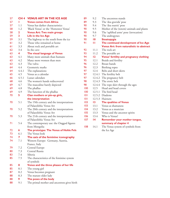| 57 | CH <sub>4</sub>         | <b>VENUS ART IN THE ICE AGE</b>                          |
|----|-------------------------|----------------------------------------------------------|
| 57 | ı                       | <b>Venus comes from Africa</b>                           |
| 57 | 1.1                     | Venus has darker charactaristics                         |
| 58 | 1.2                     | 'Black Venus' or the 'Hottentot Venus'                   |
| 58 | $\mathbf 2$             | <b>Venus Art: Two main groups</b>                        |
| 59 | 3                       | Life in the Ice Age                                      |
| 59 | 3.1                     | The highway to the south from the ice                    |
| 61 | 3.2                     | Those who remained at home                               |
| 61 | 3.3                     | About rock and portable art                              |
| 62 | 3.4                     | In the cave                                              |
| 63 | $\overline{\mathbf{4}}$ | The visual language of Venus                             |
| 63 | 4.1                     | Many more animals than humans                            |
| 63 | 4.2                     | Many more women than men                                 |
| 63 | 4.3                     | The vulva                                                |
| 64 | 4.4                     | Geometric marks                                          |
| 64 | 4.4.1                   | The explanations                                         |
| 65 | 4.5                     | Venus as a calendar                                      |
| 66 | 4.5.1                   | Lunar calendars                                          |
| 68 | 4.6                     | The women's hands rediscovered                           |
| 69 | 4.7                     | The masculine barely depicted                            |
| 69 | 4.8                     | The phallus                                              |
| 69 | 4.9                     | The function of the phallus                              |
| 70 | 5                       | Clan mothers or pin-up girls,                            |
|    |                         | the interpretation                                       |
| 70 | 5.1                     | The 19th century and the interpretations                 |
|    |                         | of Palaeolithic Venus Art                                |
| 70 | 5.2                     | The 20th century and the interpretations                 |
|    |                         | of Palaeolithic Venus Art                                |
| 70 | 5.3                     | The 21th century and the interpretations                 |
|    |                         | of Palaeolithic Venus Art                                |
| 71 | 5.4                     | The contemporary use: the Onggod figures                 |
|    |                         | from Mongolia                                            |
| 72 | 6                       | The prototype: The Venus of Hohle Fels                   |
| 73 | 6.1                     | The Venus look                                           |
| 74 | 7                       | The axis of the feminine iconography                     |
| 74 | 7.1                     | Western Europe: Germany, Austria,                        |
|    |                         | France, Italy                                            |
| 79 | 7.2                     | Central Europe                                           |
| 80 | 7.3                     | Central Russia                                           |
| 83 | 7.4                     | Siberia                                                  |
| 85 | 7.5                     | The characteristics of the feminine system<br>of symbols |
| 85 | 8                       | Venus and the three phases of her life                   |
| 85 | 8.1                     | The young girl                                           |
| 87 | 8.2                     | Venus becomes pregnant                                   |
| 88 | 8.3                     | The mature older lady                                    |
| 88 | 9                       | The poses of the body                                    |
| 88 | 9.1                     | The primal mother and ancestress gives birth             |
|    |                         |                                                          |

| 89  | 9.2             | The ancestress stands                           |
|-----|-----------------|-------------------------------------------------|
| 89  | 9.3             | The 'dea gravida' pose                          |
| 90  | 9.4             | The 'dea nutrix' pose                           |
| 90  | 9.5             | Mother of the (totem) animals and plants        |
| 90  | 9.6             | The 'uplifted arms' pose (invocation)           |
| 90  | 9.7             | The androgynes                                  |
| 90  | $\overline{10}$ | <b>Steatopygia</b>                              |
| 91  | П               | The continued development of Ice Age            |
|     |                 | <b>Venus Art: from naturalistic to abstract</b> |
| 92  | 11.1            | The rock art                                    |
| 93  | 11.2            | The portable art                                |
| 94  | 12              | Venus' fertility and pregnancy clothing         |
| 95  | 12.1            | Braids and fertility                            |
| 96  | 12.2            | Breast bands                                    |
| 96  | 12.3            | Birthing ropes                                  |
| 97  | 12.4            | Belts and short skirts                          |
| 97  |                 | 12.4.1 The fertility belt                       |
| 97  |                 | 12.4.2 The pregnancy belt                       |
| 98  |                 | 12.4.3 The erotic belt                          |
| 98  |                 | 12.4.4 The rope skirt through the ages          |
| 100 | 12.5            | Head and head covers                            |
| 100 |                 | 12.5.1 The bird head                            |
| 0   |                 | 12.5.2 Diadems                                  |
| 101 |                 | 12.5.3 Hairnets                                 |
| 103 | 13              | <b>The qualities of Venus</b>                   |
| 103 | 13.1            | Venus as shamaness                              |
| 104 | 13.2            | Venus as a musician                             |
| 105 | 13.3            | Venus and the ancestor spirits                  |
| 106 | 13.4            | Who is Venus?                                   |
| 107 | 14              | <b>Remember your mother tongue,</b>             |
|     |                 | summary of chapter 4                            |
| 108 | 14.1            | The Venus system of symbols from                |

the Ice Age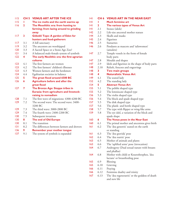| 115         | CH <sub>5</sub> | <b>VENUS ART AFTER THE ICE</b>              |
|-------------|-----------------|---------------------------------------------|
| 115         | Ш               | The ice melts and the earth warms up        |
| <u> 116</u> | 2               | The Mesolithic era: from hunting to         |
|             |                 | farming; from lazing around to grinding     |
|             |                 | away                                        |
| 117         | 3               | Göbekli Tepe: A garden of Eden for          |
|             |                 | hunters and food-gatherers                  |
| l 17        | 3.1             | A hill sanctuary                            |
| 119         | 3.2             | The ancestors are worshipped                |
| 120         | 3.3             | A Sacred Space or a Stone Age Zoo?          |
| 2           | 3.4             | A balanced male-female system of symbols    |
| 122         | 4               | The early Neolithic era: the first agrarian |
|             |                 | cultures                                    |
| 123         | 4.1             | The first farmers are women                 |
| 123         | 4.2             | The first farmers' children's illnesses     |
| 123         | 4.3             | Women farmers and the herdsmen              |
| 124         | 4.4             | Egalitarian societies in balance            |
| 125         | 5               | The great flood around 6500 BC              |
| 126         | 6               | <b>Agriculture before and after the</b>     |
|             |                 | great flood                                 |
| 127         | 7               | The Bronze Age: Steppe tribes in            |
|             |                 | Eurasia: from agriculture and livestock-    |
|             |                 | raising to nomadism                         |
| 128         | 7.1             | The first wave of migrations: 4300-4200 BC  |
| 129         | 7.2             | The second wave: The second wave: 3400-     |
|             |                 | 3200 BC                                     |
| 129         | 7.3             | The third wave: 3000-2800 BC                |
| 129         | 7.4             | The fourth wave: 2400-2200 BC               |
| 130         | 7.5             | Subsequent invasions                        |
| 130         | 8               | The end of Old Europe                       |
| 130         | 8.1             | The transition                              |
| 3           | 8.2             | The differences between farmers and drovers |
| 136         | 9               | <b>Remember your mother tongue</b>          |
| 137         | 9.1             | The system of symbols is expanded           |
|             |                 |                                             |

| 4            |             | <b>CH 6 VENUS ART IN THE NEAR EAST</b>                         |
|--------------|-------------|----------------------------------------------------------------|
| 4            | ı           | <b>Much feminine art</b>                                       |
| 4            | $\mathbf 2$ | The various types of Venus Art                                 |
| 4            | 2.1         | Stones (idols)                                                 |
| 42           | 2.2         | Life-size ancestral mother statues                             |
| 44           | 2.3         | Skulls and masks                                               |
| 145          | 2.4         | Figurines                                                      |
| 146          | 2.5         | Statuettes                                                     |
| 146          | 2.6         | Pendants as mascots and 'taliswomen'<br>(amulets)              |
| 47           | 2.7         | Temple vessels in the form of female<br>body parts             |
| 147          | 2.8         | Moulds and shapes                                              |
| 47           | 2.9         | Idols and figurines in the shape of body parts                 |
| 148          | 2.10        | Reliefs, frescoes and engravings                               |
| 148          | 3           | Two main groups                                                |
| 48           | 4           | <b>Naturalistic Venus Art</b>                                  |
| $ 49\rangle$ | 4.1         | The seated lady                                                |
| 152          | 4.2         | The standing lady                                              |
| 154          | 5.          | <b>Abstract Venus Art</b>                                      |
| 155          | 5.1         |                                                                |
| 155          | 5.2         | The pebble shaped type                                         |
| 156          |             | The lemniscate shaped type                                     |
|              | 5.3         | The violin shaped type                                         |
| 156          | 5.4         | The block and spade shaped type                                |
| 157          | 5.5         | The disk shaped type                                           |
| 157          | 5.6         | The plank- and bottle shaped type                              |
| 158          | 5.7         | The type with flipper or wing-like arms                        |
| 159          | 5.8         | The eye idol, a variation of the block and                     |
|              |             | spade shape                                                    |
| 160          | 6           | The Venus poses in the Near East                               |
| 160          | 6.1         | The primal mother and ancestress gives birth                   |
| 161          | 6.2         | The 'dea genetrix' seated on the earth<br>or standing          |
| 6            | 6.3         | The 'dea gravida' pose                                         |
| 162          | 6.4         | The 'dea nutrix' pose                                          |
| 163          | 6.5         | Mother of animals and plants                                   |
| 163          | 6.6         | The 'uplifted arms' pose (invocation)                          |
| 164          | 6.7         | Androgyny (Dual sexual nature with breasts                     |
|              |             | and phallus)                                                   |
| 164          | 6.8         | Mother with child or Kourothrophos, 'dea                       |
|              |             | lactans' or breastfeeding pose                                 |
| 165          | 6.9         | Blessing                                                       |
| 165          | 6.10        | Grieving                                                       |
| 166          | 6.11        | Praying                                                        |
| 166          | 6.12        | Feminine duality and trinity                                   |
| 167          | 6.13        | The 'dea regeneratrix' or the goddess of death<br>and new life |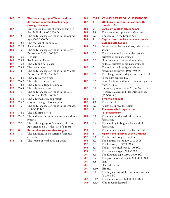| 167 | 7     | The body language of Venus and the          |
|-----|-------|---------------------------------------------|
|     |       | degeneration of the female image            |
|     |       | through the ages                            |
| 167 | 7.1   | Venus poses: measure of woman's status in   |
|     |       | the Neolithic 9400-5000 BC                  |
| 167 | 7.2   | The body language of Venus in the Copper    |
|     |       | Age 5000-3300 BC                            |
| 168 | 7.2.1 | The Mother of the animals                   |
| 168 | 7.2.2 | She slims down                              |
| 168 | 7.3   | The body language of Venus in the Early     |
|     |       | Bronze Age 3300-1000 BC                     |
| 168 | 7.3.1 | Her hair                                    |
| 169 | 7.3.2 | Reclining on the bed                        |
| 169 | 7.3.3 | The lady and her plants                     |
| 170 | 7.3.4 | The tree is sacred                          |
| 170 | 7.4   | The body language of Venus in the Middle    |
|     |       | Bronze Age 2200-1550 BC                     |
| 170 | 7.4.1 | The lady is given a face                    |
| 171 | 7.4.2 | The lady has an open eye                    |
| 7   | 7.4.3 | The lady has a large listening ear          |
| 172 | 7.4.4 | The lady gets a partner                     |
| 172 | 7.5   | The body language of Venus in the Late      |
|     |       | Bronze Age 1550-1000 BC                     |
| 172 | 7.5.1 | The lady mediates and protects              |
| 173 | 7.5.2 | City and land goddesses appear              |
| 173 | 7.6   | The body language of Venus in the Iron Age  |
|     |       | $(1000-586$ BC)                             |
| 174 | 7.6.1 | The lady arms herself                       |
| 174 | 7.6.2 | The goddesses enshroud themselves with star |
|     |       | symbols                                     |
| 176 | 7.7   | The body language of Venus after the Iron   |
|     |       | Age, after 586 BC - the start of our era    |
| 176 | 8     | <b>Remember your mother tongue</b>          |
| 178 | 8.1   | The continuity of the system of symbols     |
|     |       | established                                 |
| 178 | 8.2   | The system of symbols is expanded           |
|     |       |                                             |

| 182        | CH <sub>7</sub> | <b>VENUS ART FROM OLD EUROPE</b>                            |
|------------|-----------------|-------------------------------------------------------------|
| 182        |                 | <b>Old Europe in communication with</b>                     |
|            |                 | the Near East                                               |
| 182        | $\overline{2}$  | Large amounts of feminine art                               |
| 183        | 2.1             | The masculine is present in Venus Art                       |
| 184        | 2.2             | The reversal in the Bronze Age                              |
| 184        | 3               | <b>Cyprus: intermediary between the Near</b>                |
|            |                 | <b>East and Old Europe</b>                                  |
| 184        | 3.1             | From clan mother to goddess, priestess and<br>adorant       |
| 185        | 3.2             | The riddle solved: clan mother, goddess,                    |
|            |                 | priestess or ordinary woman                                 |
| 185        | 3.3             | How do you recognise a clan mother,                         |
|            |                 | goddess, priestess or ordinary woman?                       |
| 186        | 3.4             | The end of the Iron Age: the human-                         |
|            |                 | masculine portrayed (1050-750 BC)                           |
| 186        | 3.5             | The change from head goddess to head god                    |
|            |                 | in the 12th century BC                                      |
| 187        | 3.6             | Fewer feminine and more masculine figurines                 |
|            |                 | from $750$ BC                                               |
| 187        | 3.7             | Enormous production of Venus Art in the                     |
|            |                 | Archaic, Classical and Hellenistic periods                  |
|            |                 | $(750-50)$ BC)                                              |
| 188        | 4               | Two main groups                                             |
| 188        | 4.1             | The material                                                |
| 188        | 4.2             | Which group was there first?                                |
| 188        | 5               | The naturalistic type in the                                |
|            |                 | (E) Neolithicum                                             |
| 189        | 5.1             | The seated full-figured lady with the                       |
|            |                 | fat rear end                                                |
| 193        | 5.2             | The standing full-figured lady with the                     |
|            |                 | fat rear end                                                |
| 193        | 5.3             | The slimmer type with the fat rear end                      |
| 196        | 6               | <b>Figures and figurines of the Cyclades</b>                |
| 197        | 6.1             | The face and body decoration                                |
| 198        | 6.2             | The Plastiras type (3200-2700 BC)                           |
| 198        | 6.3             | The Louros type (2700 BC)                                   |
| 198        | 6.4             | The pre-canonical type (2700 BC)                            |
| 199        | 6.5             | The canonical type (2700-2300 BC)                           |
| <b>201</b> | 6.6             | The Koumasa type (2300-2000 BC)                             |
| 201        | 6.7             | The post-canonical type (2300-2000 BC)                      |
| 20 I       | 6.8             | Pairs                                                       |
| 201        | 6.9             | Her male partner                                            |
| 201        | 6.10            | <b>Trinities</b>                                            |
| 20 I       | 6.11            | The lady enthroned, her musicians and staff<br>(c. 2700 BC) |
| 202        | 6.12            | The hunter-warrior (2300-2000 BC)                           |

 6.13 Who is being depicted? 202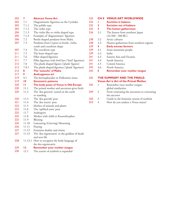| 202 | 7               | <b>Abstract Venus Art</b>                                      |
|-----|-----------------|----------------------------------------------------------------|
| 203 | 7.1             | Diagrammatic figurines on the Cyclades                         |
| 203 | 7.1.1           | The pebble type                                                |
| 203 | 7.1.2           | The violin type                                                |
| 204 | 7.1.3           | The violin like or violin shaped type                          |
| 205 | 7.1.4           | Examples of 'diagrammatic' figurines                           |
| 206 | 7.2             | Bottle-shaped pendants from Malta                              |
| 207 | 7.3             | Pendants from Cyprus in bottle, violin,                        |
|     |                 | comb and cruciform shape                                       |
| 207 | 7.4             | The cruciform type                                             |
| 211 | 7.5             | The bone shaped type                                           |
| 211 | 7.6             | Pillar shaped figurines                                        |
| 211 | 7.7             | Pillar figurines with bird face ('bird' figurines)             |
| 212 | 7.8             | The plank-shaped figures ('plank' figures)                     |
| 213 | 7.8.1           | The plank-shaped figurines ('plank' figurines)                 |
| 215 | 8               | The 'eunuchs' of Malta                                         |
| 217 | 9               | <b>Androgynous art</b>                                         |
| 219 | 9.1             | The hermaphrodite in Hellenistic times                         |
| 219 | $\overline{10}$ | <b>Geometric patterns</b>                                      |
| 220 | ш               | The body poses of Venus in Old Europe                          |
| 220 | 11.1            | The primal mother and ancestress gives birth                   |
| 220 | 11.2            | The 'dea genetrix' seated on the earth                         |
|     |                 | or standing                                                    |
| 220 | 11.3            | The 'dea gravida' pose                                         |
| 221 | 11.4            | The 'dea nutrix' pose                                          |
| 222 | 11.5            | Mother of animals and plants                                   |
| 222 | 11.6            | The 'uplifted arms' pose                                       |
| 225 | 11.7            | Androgyny                                                      |
| 225 | 11.8            | Mother with child or Kourothrophos                             |
| 225 | 11.9            | Blessing                                                       |
| 226 | 11.10           | Lamenting (Grieving) Mourning                                  |
| 226 | 11.11           | Praying                                                        |
| 227 | 11.12           | Feminine duality and trinity                                   |
| 227 | 11.13           | The 'dea regeneratrix' or the goddess of death<br>and new life |
| 228 | 11.13.1         | How to recognize the body language of<br>the dea regeneratrix  |
| 229 | 12              | <b>Remember your mother tongue</b>                             |
| 230 | 12.1            | The system of symbols is expanded                              |
|     |                 |                                                                |

| 235          |                         | <b>CH 8 VENUS ART WORLDWIDE</b>                              |
|--------------|-------------------------|--------------------------------------------------------------|
| 235          |                         | <b>Societies in balance</b>                                  |
| 235          | 2                       | Societies out of balance                                     |
| 235          | $\overline{\mathbf{3}}$ | The hunter-gatheresses                                       |
| 236          | 3.1                     | The Jomon from northern Japan                                |
|              |                         | $(16.500 - 300$ BC)                                          |
| 238          | 3.2                     | Arctic cultures                                              |
| 238          | 3.3                     | Hunter-gatheresses from southern regions                     |
| 239          | 4                       | <b>Early woman farmers</b>                                   |
| 239          | 4.1                     | Asian mountain people                                        |
| 239          | 4.2                     | India                                                        |
| 241          | 4.3                     | Eastern Asia and Oceania                                     |
| $241$ 4.4    |                         | South America                                                |
| $241 \t 4.5$ |                         | Central America                                              |
| 242          | 4.6                     | North America                                                |
| 243          | 5                       | <b>Remember your mother tongue</b>                           |
| 245          |                         | THE SUMMARY AND THE FINALE:                                  |
|              |                         | <b>Venus Art is Art of the Primal Mother</b>                 |
| 245          | 1                       | Remember your mother tongue:                                 |
|              |                         | global similarities                                          |
| 249          | 2                       |                                                              |
|              |                         | From venerating the ancestress to venerating<br>the ancestor |
|              |                         |                                                              |
| 250          | 3                       | Guide in the feminine system of symbols                      |
| 253          | 4                       | How do you analyse a Venus statue?                           |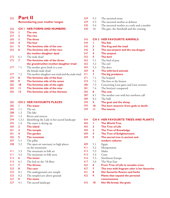| 255          | <b>Part II</b><br><b>Remembering your mother tongue</b> |                                                  |  |
|--------------|---------------------------------------------------------|--------------------------------------------------|--|
| 256          | CH I                                                    | <b>HER FORMS AND NUMBERS</b>                     |  |
| 256          | ш                                                       | The one                                          |  |
| 257          | $\mathbf{2}$                                            | The two                                          |  |
| 260          | 3                                                       | <b>The three</b>                                 |  |
| 260          | 4                                                       | <b>The four</b>                                  |  |
| 261          | 5.                                                      | The feminine side of the one                     |  |
| 263          | 6                                                       | The feminine side of the two:                    |  |
|              |                                                         | the mother-daughter dyad                         |  |
| 273          | 6.1                                                     | The male dyad                                    |  |
| 273          | 7                                                       | The feminine side of the three:                  |  |
|              |                                                         | the grandmother-mother-daughter triad            |  |
| 277          | 7.1                                                     | The mother gives birth to a son:                 |  |
|              |                                                         | the female-male dyad                             |  |
| 277          | 7.2                                                     | The mother-daughter-son triad and the male triad |  |
| 279          | 8                                                       | The feminine side of the four                    |  |
| 280          | 9.                                                      | The feminine side of the seven                   |  |
| 282          | $\overline{10}$                                         | The feminine side of the eight                   |  |
| 283          | п                                                       | The feminine side of the nine                    |  |
| 283          | $\overline{12}$                                         | The feminine side of the thirteen                |  |
|              |                                                         |                                                  |  |
|              |                                                         |                                                  |  |
|              |                                                         |                                                  |  |
| 285          |                                                         | <b>CH 2 HER FAVOURITE PLACES</b>                 |  |
| 285          | ш                                                       | The water                                        |  |
| 285          | 1.1                                                     | The sea                                          |  |
| 288          | 1.2                                                     | The lake                                         |  |
| 29 I         | 1.3                                                     | Rivers and sources                               |  |
| 294          | 1.3.1                                                   | Identifying the Lady in her sacred landscape     |  |
| 295          | 1.4                                                     | The water is drying up                           |  |
| 300          | $\mathbf 2$                                             | The island                                       |  |
| 301          | 3                                                       | <b>The temple</b>                                |  |
| 301          | 4                                                       | The garden                                       |  |
| 305          | 5                                                       | The mountain                                     |  |
| 307          | 5.1                                                     | The pillar                                       |  |
| 308          | 5.2                                                     | The open-air sanctuary in high places            |  |
|              |                                                         | on the mountains                                 |  |
| 311<br>3 I I | 5.3                                                     | The mountain in folk art                         |  |
| 313          | 5.4<br>6                                                | The mountain in folk story<br><b>The tower</b>   |  |
| 313          | 6.1                                                     | The bed on the 7th floor                         |  |
| 317          | 7                                                       | <b>The throne</b>                                |  |
| 323          | 8                                                       | The cave                                         |  |
| 325          | 8.1                                                     | The underground cave temple                      |  |
| 325          | 8.2                                                     |                                                  |  |
| 327          | 9                                                       | The temple/cave above ground<br><b>The stone</b> |  |

| 329   |     | 9.2 The ancestral stone                          |
|-------|-----|--------------------------------------------------|
| 329   | 9.3 | The ancestral mother as dolmen                   |
| 330 L |     | 9.4 The ancestral mother as a stele and a menhir |
| 340   | 10  | The gate, the threshold and the crossing         |

#### **CH 3 HER FAVOURITE ANIMALS**  343

| 344  | н              | <b>The fish</b>                        |
|------|----------------|----------------------------------------|
| 345  | $\mathbf{2}$   | The frog and the toad                  |
| 346  | 3              | The sea-serpent and the sea-dragon     |
| 347  | 4              | The serpent                            |
| 355  | 5              | <b>The bird</b>                        |
| 362  | 5.1            | The bird of prey                       |
|      | $363 \t 5.2$   | The owl                                |
| 365  |                | 5.3 The dove                           |
| 369  | 6              | The wild herd animals                  |
| 37 I | 7              | The big predators                      |
| 37 I | 7.1            | The leopard                            |
|      | <b>374</b> 7.2 | The lion or the lioness                |
|      | <b>380</b> 7.3 | Concerning Lion gates and Lion avenues |
| 381  | 7.4            | The lion(ess) conquered                |
| 383  | 8              | The cow                                |
| 387  | 8.1            | The mother cow with her newborn calf   |
| 389  | 8.2            | The bull                               |
| 394  | 9              | The goat and the sheep                 |
|      |                |                                        |
| 395  | 10             | The horn wearers: from gods to devils  |

#### **CH 4 HER FAVOURITE TREES AND PLANTS** 404

| 404  | ı            | <b>The World Tree</b>                                   |
|------|--------------|---------------------------------------------------------|
| 405  | $\mathbf{z}$ | <b>The Tree of Life</b>                                 |
| 409  | 3            | <b>The Tree of Knowledge</b>                            |
| 409  | 4            | <b>The Tree of Enlightenment</b>                        |
| 409  | 5            | The sacred tree in ancient and                          |
|      |              | modern cultures                                         |
| 409  | 5.1          | Egypt                                                   |
| 411  | 5.2          | Mesopotamia                                             |
| 413  | 5.3          | Malta                                                   |
| 413  | 5.4          | Crete                                                   |
| 416  | 5.5.         | Northwest Europe                                        |
| 417  | 5.6          | The Near East                                           |
| 425  | 6            | <b>From Tree of Life to wooden cross</b>                |
| 427  | 7            | The tree with fragrant odor is her favourite            |
| 43 I | 8            | Her favourite flowers and herbs                         |
| 432  | 9            | <b>Plants that expand the personal</b><br>consciousness |
| 433  | 10           | Her life-bread, the grain                               |
|      |              |                                                         |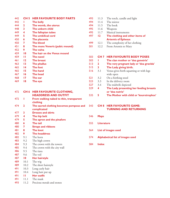| 442        | CH <sub>5</sub> | <b>HER FAVOURITE BODY PARTS</b>         |  |  |
|------------|-----------------|-----------------------------------------|--|--|
| 442        | ш               | <b>The belly</b>                        |  |  |
| 444        | $\mathbf{2}$    | The womb, the uterus                    |  |  |
| 448        | 3               | The unborn child                        |  |  |
| 449        | 4               | The fallopian tubes                     |  |  |
| 449        | 5               | The umbilical cord                      |  |  |
| 450        | 6               | The placenta                            |  |  |
| 450        | 7               | <b>The blood</b>                        |  |  |
| 45 I       | 8               | <b>The mons Veneris (pubic mound)</b>   |  |  |
| 452        | 9               | The vulva                               |  |  |
| 459        | $\overline{10}$ | The hair on the Venus mound             |  |  |
| 459        | п               | The navel                               |  |  |
| 46 I       | $\overline{12}$ | <b>The breast</b>                       |  |  |
| 463        | $\overline{13}$ | The phallus                             |  |  |
| 465        | $\overline{14}$ | <b>The foot</b>                         |  |  |
| 465        | 15              | The hand                                |  |  |
| 467        | $\overline{16}$ | <b>The head</b>                         |  |  |
| 468        | $\mathbf{17}$   | The ear                                 |  |  |
| 469        | 18              | The eye                                 |  |  |
|            |                 |                                         |  |  |
|            |                 |                                         |  |  |
| 472        |                 | <b>CH 6 HER FAVOURITE CLOTHING,</b>     |  |  |
|            |                 | <b>HEADDRESS AND OUTFIT</b>             |  |  |
| 472        | ı               | From walking naked to thin, transparent |  |  |
|            |                 | clothing                                |  |  |
| 474        | $\mathbf{2}$    | The sacred clothing becomes pompous and |  |  |
|            |                 | complicated                             |  |  |
| 477        | 3               | <b>Dresses and skirts</b>               |  |  |
| 479        | 4               | The hip belt                            |  |  |
| 479        | 5               | The apron and the pinafore              |  |  |
| 480        | 6               | The tail                                |  |  |
| 480        | 7               | <b>Straps and ribbons</b>               |  |  |
| 48 I       | 8               | <b>The knot</b>                         |  |  |
| 482        | 9               | <b>The headdress</b>                    |  |  |
| 482        | 9.1             | The horn                                |  |  |
| 483        | 9.2             | The high crown                          |  |  |
| 484        | 9.3             | The crown with the towers               |  |  |
| 485        | 9.4             | The crown with the city wall            |  |  |
| 486        | 9.5             | The tiara                               |  |  |
| 487        | 9.6             | The veil                                |  |  |
| 487        | 10              | Her hairstyle                           |  |  |
| 489        | 10.1            | The wig                                 |  |  |
| 489        | 10.2            | The short hairstyle                     |  |  |
| 491        | 10.3            | Long curly hair                         |  |  |
| 491        | 10.4            | Long hair put up                        |  |  |
| 49 I       | ш               | <b>Her outfit</b>                       |  |  |
| 491<br>493 | 11.1            | The mask                                |  |  |
|            | 11.2            | Precious metals and stones              |  |  |

| 493 | 11.3  | The torch, candle and light     |
|-----|-------|---------------------------------|
| 494 | 11.4  | The mirror                      |
| 494 | 11.5  | The book                        |
| 495 | 11.6  | Weapons                         |
| 495 | 11.7  | Musical instruments             |
|     |       |                                 |
| 497 | 12    | The clothing and other items of |
|     |       | <b>Artemis of Ephesus</b>       |
| 499 | 12.1  | The complexity of her clothing  |
| 501 | 12.2. | From Artemis to Mary            |

#### **CH 7 HER FAVOURITE BODY POSES** 503

| The very pregnant lady or 'dea gravida'  |
|------------------------------------------|
|                                          |
|                                          |
| Venus gives birth squatting or with legs |
|                                          |
|                                          |
|                                          |
| The Lady presenting her feeding breasts  |
|                                          |
| The Mother with child or 'kourotrophos'  |
|                                          |

| nd 543 | <b>CH 8 HER FAVOURITE GAME:</b> |
|--------|---------------------------------|
|        | <b>TURNING AND RETURNING</b>    |

- **Maps** 546
- **Literature** 555
- **List of images used** 564
- **Alphabetical list of images used** 574
- **Index** 584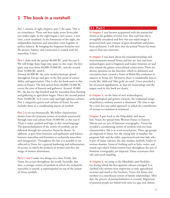### **2 The book in a nutshell**

Part 1 consists of eight chapters, part 2 the same. This is no coincidence. Three and four make seven Seven plus one makes eight. In the eight begins a new octave, a new time, a new mankind. In the lemniscate of the eight, the independent feminine and masculine come together in perfect balance. By bringing the forgotten feminine into the picture, balance and connection is created with the masculine. Unity.

Part 1 deals with the period 40,000 BC until the year 0. We will bridge these huge time spans in two steps: the first giant step runs from 40,000-10,000 BC, and the second from 10,000 BC until 0.

Around 40,000 BC the early modern humans spread throughout Europe and gave us the first proof of artistic ability and appreciation. This is why the book starts at this point in history. The first period from 40,000-10,000 BC covers the time of hunters and gatherers. Around 10,000 BC, the last Ice Age finished and the transition from hunting and gathering to agriculture began. Hence the second period from 10.000 BC to 0 covers early and high agrarian cultures. Part 1 categorises genres and varieties of Venus Art and includes them in a coordinating system of symbols.

Part 2 is set out thematically. We follow characteristic themes from the feminine system of symbols transversely through time and culture from 10.000 BC to the year 0. There is order, method and logic in this visual language. The patriarchalisation of the system of symbols can be followed through the centuries, theme by theme. In addition, it goes from feminine and egalitarian and balance between masculine and feminine to exclusively masculine and misogynistic. Throughout the line it is possible to see reflected in Venus Art a general hardening and militarisation of society, in which the position of women and thus the image of women deteriorates.

Parts 1 and 2 make two things very clear. Firstly, that Venus Art occurs throughout the world. Secondly, that later, a younger system of symbols in which the exclusively masculine is central, is superimposed on top of the system of Venus symbols.

#### **2.1 Part 1**

In chapter 1 you become acquainted with the patriarchal Venus as the goddess of erotic love. You read how she is wrongfully sexualised and how this one-sided image is projected back onto women of great dynamism and power from prehistory. I will show that the primal Venus has more aspects than just eroticism.

In chapter 2 you learn about the misunderstandings and misconceptions around Venus and her art. You read how archaeologists used to fragment and isolate feminine art and thus missed the greater intercultural connections. There are diverse opinions on the function, which in definition and conception have created a Tower of Babel-like confusion in relation to Venus Art. Moreover, there is considerable bias as words like 'idols and 'false gods' are used. I have provided a list of neutral appellations, so that the terminology and the jargon used in this book are clearer.

In chapter 3, on the basis of new archaeological, anthropological and genetic research, the traditional image of prehistory without women is dismissed. The time is ripe for a new, less one-sided approach in which the contribution of woman to evolution is reclaimed.

Chapter 4 goes back to the Palaeolithic and shows how Venus Art spread from Western France to Eastern Siberia over an 'axis of feminine iconography'. Venus has revealed a coordinating system of symbols with ten basic characteristics. She is in seven sacred poses. Three age groups are depicted in Venus Art: the young lady or maiden, the pregnant lady and the older, experienced and wise lady who is part of many cultures: the clan mother, midwife, healer or woman shaman. Items of clothing such as belts, trains, and round caps which Venus women wear throughout the axis of feminine iconography, are depicted. These accentuate their role and social standing.

In chapter 5, we jump to the Mesolithic and Neolithic era during which the first agrarian cultures emerged. It is clarified why women were important in early agricultural societies and stand at the forefront. Venus Art shows clan mothers in a matrilinear system of family relationships. After this, the process of patriarchalisation is covered. Migrations of pastoral people are linked with mini ice ages and climate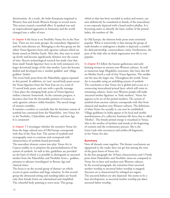deterioration. As a result, the Indo-Europeans migrated to Western Asia and South-Western Europe in several waves. This action created a snowball effect. It sparked war and an unprecedented aggression in humanity and the world changed into a valley of tears.

In chapter 6 the focus is on Neolithic Venus Art in the Near East. There are two main groups: the naturalistic (figurative) and the semi-abstract art. Belonging to the first group are the oldest Venus figurines from early agrarian cultures which are firmly seated on Mother Earth. After this, they start to stand up slowly and become significantly slimmer over the course of time. Recent archaeological research has made clear that these small 'female figurines' have to do with miniatures of a larger devotional image of the clan mother. Later she became deified and developed into a 'mother goddess' and 'village goddess' (India).

The seven body poses from the Palaeolithic appear repeated in this period. In addition, six 'new' sacred body poses occur: the Venus figurines from the Near East are in a total of 13 sacred body poses, each one with a specific message. I then place the changing body poses of Venus figurines within a historic framework. As the centuries progress, it becomes clear how the favourable position of women in early agrarian cultures visibly founders. The sacred image of woman crumbles.

It remains a comfort to conclude that the feminine system of symbols has continued from the Palaeolithic into Venus Art in the Neolithic, Chalcolithic and Bronze- and Iron Age. It is consistent!

In chapter 7 I investigate whether the extensive Venus Art from the large cultural area of Old Europe corresponds with that of the Near East. The system of symbols and iconography seem to continue and correspond with characteristics of symbols found previously. The masculine element comes into play. Venus Art in Cyprus enables us to pinpoint the patriarchalisation of the system of symbols. As well as this, guidelines are provided on the basis of which it is possible to distinguish an ancestral mother from the Palaeolithic and Neolithic from a goddess, priestess or adorant (worshipper) in Bronze Age and classical times.

The focus is on the second group of abstract art which occurs in great numbers and huge variation. In this second group the abstracted sitting and standing ladies are found: only their female forms are schematized and simplified. The colourful body painting is worn away. This group,

which to date has been recorded as sexless and neuter, can now definitively be considered as female, if the masculinity is not expressly depicted with a beard and/or phallus. It is becoming easier to identify the basic outline of the primal ladies, the mothers of life.

In Old Europe, the thirteen body poses seem extremely popular. What is noteworthy is that among the group of male-females or androgynes a duality is depicted: a symbol for dual partnership, connectedness: unity. Furthermore, the pose of the lady who in death regenerates new life is very popular.

In chapter 8 I follow the hunter-gatheresses and early farming women in ancient non-Western cultures. As well as numerous large Megalithic structures, they have also left on Mother Earth a trail of tiny Venus figurines. The smaller one fits into the larger one. Throughout the world, Venus Art is traceable using an unfolding system of symbols. The conclusion is that Venus Art is global and occurs in a connecting intercultural primal layer, which still exists in remaining cultures. Some non-Western people still make 'ancestral mother figurines' or 'little mothers'. Venus Art appears to be art of the primal mothers. The system of symbols from ancient cultures corresponds with that from classical and modern non-Western cultures. The definition of what Venus Art actually is, can now be established. Village goddesses in India appear to be local and earthly manifestations of a collective feminine life force that is called 'Mother'. The female primal energy is visualised in Venus, who is the mother of mothers and stands at the beginning of creation and the evolutionary process. She is the Great Lady who reconnects and unifies all fragments, in her Venus Art also.

#### **Summary**

Now all threads come together. The former conclusions are signposted so the reader does not get lost among the trees of the great forest of Venus Art. In the first paragraph the 10 basic characteristics and 13 body poses from Palaeolithic and Neolithic times are compared to Venus Art in later and modern non-Western cultures. In the second paragraph, the transition from ancestral mother worship to ancestral father worship is mapped. Ancestor art is characterised by enlarged sex organs. The ancestral fathers are also depicted: this seems to be a later development, as ancestral mother worship pre-dates ancestral father worship.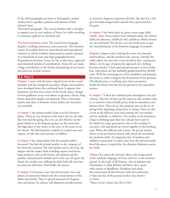In the third paragraph you learn to distinguish a primal mother from a goddess, priestess and adorant of later classical times.

The fourth paragraph. The section finishes with a checklist to support you in your analysis of Venus Art while travelling, in museums, galleries or anywhere else.

The final conclusion is this: The visual Venus language displays a striking consistency and continuity. The feminine system of symbols shows an intercultural and transcultural cohesion in which symbolic characteristics remain repeated over thousands of years and large geographical areas. Preponderant feminine Venus Art has to date been neglected and remained outside of consideration. Venus Art can make a huge contribution to the further dismantling of our history that does not include women.

#### **2.2 Part 2**

Chapter 1 starts with the basic original forms of the round feminine and the elongated masculine. Shapes and numbers were developed from this combined basis. It appears that humanity was first more aware of the female aspect. Images of twin goddesses occur everywhere in agrarian cultures, long before masculine duality was depicted. There is feminine duality and there is feminine trinity, before the masculine was included.

In chapter 2 the primal mother leads us to her favourite places. These are any locations with water: the sea, the lake, the river and the spring. But you can also find her on the green island or in the fragrant garden; on the mountain, the high place or the tower; in the cave, in the stone or on her throne. We find feminine symbols on earthenware and carpets, in folk tales and customs, in folklore.

In chapter 3 her relationship with the animal world is discussed. You find the primal mother in the company of her favourite creatures: fish and reptiles such as the frog, the dragon and the snake; birds including raptors and doves; large predators such as the lioness, the leopard and the panther; domesticated animals such as the cow, the goat, the sheep; the mother cow milking her baby bull calf, that later becomes her bull mate. And finally, the insects.

In chapter 4 it becomes clear that her favourite trees and plants are intricately linked with the central themes of life, death and rebirth. There is special attention for fragrant trees and plants. In cultures well-disposed towards women, an attractive fragrance represents divinity. She also has a soft spot for hallucinogen herbs and she has a particular love for grain.

In chapter 5 her body parts are given centre stage: belly, womb, vulva, Venus (pubic) hair, fallopian tubes, the unborn child, the placenta, umbilical cord, umbilicus, blood, breasts, ear, eye and hand. Nor do her very own body parts escape the masculinisation of the feminine language of symbols.

Chapter 6 depicts what clothing she wears, her hairstyle and headdress, and the attributes she conveys. Initially she walks naked, but later she covers herself in thin, translucent fabrics. As the ages of patriarchy approach, her clothing becomes thicker. I have paid special attention to her fertility belt, with which she has faithfully girded herself for 40,000 years. With the increasing size of her headdress and hairstyle, she seems to wish to disguise the devaluation of her position. This flamboyance is nothing more than ostentation. Inside she knows that she has lost ground to her masculine partner.

In chapter 7 I show her standard poses throughout eras and cultures. The first of these are the nanas or clan mothers who sit or stand in various bodily poses, both in naturalistic and abstract form. Then we see the pregnant ones in the act of giving birth: squatting, lying down or sitting. Then we take a look in the delivery room and examine the new mother and her midwife or midwives. The mother-to-be sometimes clings to birthing ropes that have already been used in the family for many generations, also in the worship of ancestors. Life and death are woven together in the birthing rope. When this difficult task is done, the proud mother shows us her prominent breasts with which she breastfeeds her newborn child. An impressive line of mothers and children is presented. It makes clear how old and universally loved this pose is, long before the christian Madonna carries her child.

Chapter 8 is about the christian Mary, who brings much of the symbolic language of Venus with her to the christian period. As the Lady of all Nations, who in Judaism and Christianity is called Miriam and Mary, she is given other names in Buddhism, Hinduism and Islam. But underneath all this diversity hides the uniformity of that one face of the primal mother once known as Venus.

"Many are her names, but She is One".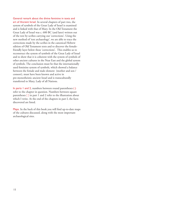General remark about the divine feminine in texts and art of Ancient Israel. In several chapters of part two, the system of symbols of the Great Lady of Israel is examined and is linked with that of Mary. In the Old Testament the Great Lady of Israel was c. 600 BC (and later) written out of the text by scribes carrying out 'corrections'. Using the new method of 'text archaeology', we are able to trace the corrections made by the scribes in the canonical Hebrew edition of Old Testament texts and to discover the femalefriendly layer below these 'corrections'. This enables us to reconstruct the system of symbols of the Great Lady of Israel and to show that it is coherent with the system of symbols of other ancient cultures in the Near East and the global system of symbols. The conclusion must be that the internationally used feminine system of symbols, which showed a balance between the female and male element (mother and son / consort), must have been known and active in pre-monotheistic ancient Israel and is transculturally transferred to Mary, Lady of all Nations.

In parts 1 and 2, numbers between round parentheses ( ) refer to the chapter in question. Numbers between square parentheses [ ] in part 1 and 2 refer to the illustration about which I write. At the end of the chapters in part I, the facts discovered are listed.

Maps. In the back of this book you will find up-to-date maps of the cultures discussed, along with the most important archaeological sites.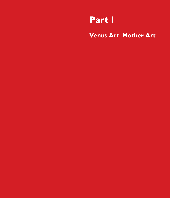## **Part I**

**Venus Art Mother Art**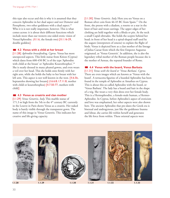this type also occur and this is why it is assumed that they concern Aphrodite in her dual aspect and not Demeter and Persephone, two other goddesses with a dual aspect.<sup>25</sup> Who it is is not really important, however. This is what comes across: it is about their different functions which include more than our western one-sided erotic vision of Venus/Aphrodite. (II.1.6, the female two) [II.1.16-29, double goddess]

#### **4.2 Venus with a child at her breast**

[I.1.28] *Aphrodite breastfeeding, Cyprus.* Venus has more unexpected aspects. This little statue from Kition (Cyprus) which dates from 600-450 BC is of the type 'Aphrodite with child at the breast' or 'Aphrodite Kourothrophos'.26 She is neatly dressed in many pleated gowns, and even wears a veil over her head. This she holds onto firmly with her right arm, while she holds the baby to her breast with her left arm. This aspect is not well known in the west. [II.6.5b, heptastolos showing her breasts] (I.6.6.8; I.7.11.8, mother with child or kourothrophos) [II.7.50-77, mothers with child]

#### **4.3 Venus as creatrix and clan mother**

[I.1.29] *Venus Genetrix, Italy.* This marble statue of 171.3 m high from the 5th to the 4<sup>th</sup> century BC currently in the Louvre in Paris shows Venus as a creatrix. Her naked body is barely visible through the transparent gown. The name of this image is: Venus Genetrix. This indicates her creative and life-giving capacity.

[I.1.30] *Venus Genetrix. Italy.* Here you see Venus on a Roman silver coin from 46-45 BC from Spain.27 On the front, she preens with a diadem, a rosette or a star in the knot of hair and wears earrings. The upper edges of her clothing are held together with a fibula or pin. At the neck a small Cupid obtrudes. She holds the sceptre behind her head; in front of her head is a spiral-shaped staff used by the augurs (interpreters of omens) to explain the flight of birds. Venus is depicted here as a clan mother of the lineage of Julius Caesar from which the first Emperor Augustus originated, as 'Venus Genetrix'. In addition, she is also the legendary tribal mother of the Roman people because she is the mother of Aeneas, the reputed founder of Rome.

#### **4.4 Venus with the beard, Venus Barbata**

[I.1.31] *Venus with the beard or 'Venus Barbata', Cyprus.*  There are even images which are known as 'Venus with the beard'. A terracotta figurine of a bearded Aphrodite has been found in the temple of Aphrodite at Amathus on Cyprus. This is about this so-called Aphrodite with the beard, or 'Venus Barbata'. The lady has a beard and hair in the shape of a wig. She wears a very thin dress over her female body. This is a Hermaphrodite, a female-male human, a Hermes-Aphrodite. In Cyprus, before Aphrodite's aspect of eroticism and love was emphasised, her other aspects were also shown here. The ancient Aphrodite that pre-dates the Greek era is bisexual and androgynous, just like the goddesses Inanna and Ishtar, she carries life within herself and generates the life force from within. These oriental aspects were

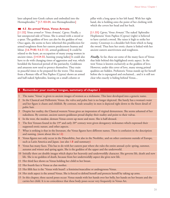later adopted into Greek culture and embodied into the Hermaphrodite.<sup>28</sup> [1.7.103-04, two Hermaphrodites]

#### **4.5 An armed Venus, Venus Armata**

[I.1.32] *Venus armed or 'Venus Armata', Cyprus.* Finally, a last unexpected side of Venus. She is armed with a sword or a spear. The goddess of love can also be the goddess of war. Once again, she seems to have inherited this predilection for armed toughness from her eastern predecessors Inanna and Ishtar. [I.6.79-80; II.6.51-53, armed goddesses] It could be related to the hunt, an occupation of many young women in ancient times. [I.4.54-55, hunting young ladies] It could also have to do with changing times of aggression and war, which heralded the historical period of the patriarchy. Goddesses and amazons now need to protect themselves. They train in peaceful times to be prepared for the worst. This mosaic from a Roman villa of Nea Paphos (Cyprus) shows an armed and half-naked Aphrodite, leaning on a small column or

pillar with a long spear in her left hand. With her right hand, she is holding onto the point of her clothing with which she covers her head and her back.

[I.1.33] *Cyprus,'Venus Armata'.* The naked 'Aphrodite Hoplismene' from Paphos (Cyprus) (right) is believed to have carried a sword. She raises it high to strike her enemy. Crossways is a shoulder belt from which to hang the sword. Thus here her erotic charm is linked with her ancient eastern assertiveness and toughness.

*Finally*. So far, these are some of the many faces of Venus that hide behind this highlighted erotic aspect. In the west Venus is known exclusively as the goddess of love. However, under this cover of love, many strong primal qualities are hidden. Prehistoric Venus stands up for herself before she is expurgated and enchained... and it is still not clear who exactly is hiding behind Venus...

#### **5 Remember your mother tongue, summary of chapter 1**

- 1 The name 'Venus' is given to ancient images of women as a nickname. This later developed into a generic name.
- 2 In the Classical and Hellenistic Venus, the vulva and pubic hair is no longer depicted. She barely has a woman's waist and her figure is chaste and childish. By contrast, male sexuality in men is depicted right down to the finest detail of pubic hair.
- 3 Despite her nudity, the Classical western Venus gives an impression of virginal demureness. She seems ashamed of her nakedness. By contrast, ancient eastern goddesses proud display their nudity and point to their vulvas.
- In the west, the modest, demure Venus covers up more and more. She is half-dressed.
- The first Venuses found in the  $19<sup>th</sup>$  and early  $20<sup>th</sup>$  century were given derogatory nicknames which expressed their supposed erotic nature, and other aspects.
- 7 What is striking is that in the literature, the Venus figures have different names. There is confusion in the description and naming. (more about this in I.2)
- 8 Venus figures not only occur in the Palaeolithic, but also in the Neolithic, and on other continents outside of Europe, such as Latin America and Japan. (see also 1.8 and summary)
- Venus has many faces. This has to do with her eastern past where she rules the entire annual cycle: spring, summer, autumn and winter and spring again. She is the goddess of the upper and the underworld.
- 10 Initially there are double images which depict her heavenly and underworldly character. She governs life, death and new life. She is no goddess of death, because from her underworldly aspect she gives new life.
- 11 Her third face shows us Venus holding her child to her breast.
- 12 Her fourth face is Venus as clan mother.
- 13 Her fifth face is the 'Venus with beard': a feminine/masculine or androgynous Venus.
- 14 Her sixth aspect is the armed Venus. She is forced to defend herself and protects herself by taking up arms.
- 15 In this chapter, three sacred poses occur: Venus stands with her hands over her belly, her hands on her breasts and she carries her child. It is no coincidence that these body poses occur very frequently in Venus Art.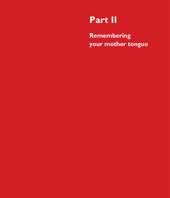## **Part II**

**Remembering your mother tongue**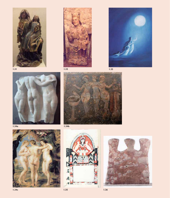





**1.34a**

**1.34b**





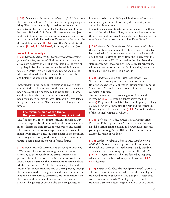[1.31] *Switzerland, St. Anne and Mary, c. 1500.* Here, from the Christian tradition is St. Anne and her strapping daughter Mary. The statue is currently located in the Louvre and originated in the workshop of Jos Guntersommer of Basel, between 1489 and 1517. Originally there was a small Jesus to the left of both their feet, but he has disappeared. In this way, the statue is similar to that of Demeter and Kore and 'the divine child', a son, at [II.1.30a]. Or other Anna selbstdrittstatues. [II.1.45; II.2.18d; II.4.43, St. Anne, Mary and Jesus]

#### **6.1 The male dyad**

[1.32] *Germany, Bamberg, God the father in kourothrophos pose and the Son, mediaeval.* God the father and the son are seldom depicted in Christian art. Here a statue from an art gallery in Bamberg where we saw the exhibition 'God female' in 2010. This is a picture of a rare wooden statue with an enthroned God the father with the son on his lap and holding the apple in his right hand.

*The evolution of the system of symbols from female to male.*  God the father as kourothrophos; the male in a very ancient body pose of the divine female. The sacred female motherchild type is much older than the father-child type. In this book we manage to show the evolution of the sacred female image into the male one. The previous series has given the proofs.

#### **7 The feminine side of the three: the grandmother-mother-daughter triad**

The feminine two-in-one image represents the life-giving and death aspects. In addition to these, the feminine threein-one depicts the third aspect of regeneration and rebirth. The basis of the three-in-one aspect lies in the phases of the moon. From ancient times the three phases of the moon has run through the history of the motherland in a continuous thread. These phases are shown in female figures.

[1.33] *India, Auroville, three women ascending to the moon,*   $20<sup>th</sup>$  *century*. This modern painting shows three women ascending to the moon from the primal waters.<sup>60</sup> The picture is from the Centre of the Mother in Auroville, in India, where her temple, the Matrimandir or Temple of the Mother, is also located.<sup>61</sup> The three women symbolise the course of the moon, from the new or waxing moon, through the full moon to the waning moon and black or new moon. Not only do they wish to express the process in nature with this, but also the course of humans from birth via death to rebirth. The goddess of death is also the wise goddess. She

knows that trials and suffering will lead to transformation and inner regeneration. This is why the (moon) goddess always has three aspects.

Hence the female trinity returns in the images of the three roots of the primal Tree of Life, for example, but also in the three Graces and the three Muses, who later develop into the nine Muses. Let us first focus on 'The Three Graces'.

[1.34a] *Greece, The Three Graces, 1-2nd century AD.* Here is the first of three examples of the 'Three Graces', a type that has remained a favourite theme throughout the history of art. The first is a classical design from the Louvre from the 1st or 2nd century AD. Compared to the older Neolithic statues of women, these women's bodies are tender, young, without a clear waist or rounded feminine hips, Venus hair (pubic hair) and do not have a clear slit.

#### [1.34b] *Anatolia, The Three Graces, 2nd century AD.*  Second, in the same pose, three women from a mosaic from the ancient city of Zeugma in Turkey, dating from the 2nd century AD, and currently located in the Gaziantepe Museum in Turkey.

*The three Graces* are the three daughters of Zeus and Eurynome. (II.2.1, Eurynome dances across the primal waters) They are called Aglaia, Thalia and Euphrosyne. They are associated with Aphrodite, the Arts and the Muses. In Rome they are called the Gratiae. [II.2.1, Aphrodite and one of the (clothed) Gratiae or Charites]

[1.34c] *Belgium, The Three Graces, 1635*. Flemish artist Peter Paul Rubens painted the 'Three Graces' in 1635, in an idyllic setting among blooming flowers in an imposing painting measuring 221 by 181 cm. The painting is in the Museo del Prado in Madrid.<sup>62</sup>

[1.35] *Turkey, The female Three in One, Çatal Höyük, c. 6000 BC.* On one of the many, many wall paintings in the Neolithic sanctuary in Çatal Höyük, a lady stands in a dancing pose, in the company of two smaller ladies.<sup>63</sup> [1.6.19-21, Çatal Höyük] They are flanked by leopards, which have their tails raised in a playful manner. [II.3.23, 33; II.5.8, leopards]

[1.36] *Romania, the three-fold cult figure, a triad, 4500-4100 BC.* In Trusesti, Romania, a triad or three-fold cult figure from Old Europe was found.<sup>64</sup> It is a large terracotta plate with three abstract heads 74 cm high by 70 cm wide, from the Cucuteni culture, stage A, 4500-4100 BC. All this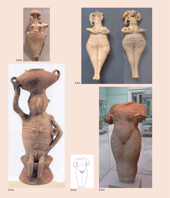

**5.31b**





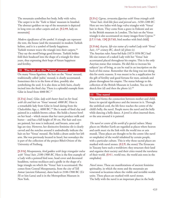The mountain symbolises her body, belly with vulva. The carpet is in the 'Turk ve Islam' museum in Istanbul. The abstract goddess on top of the mountain is depicted in long rows on other carpets and art. [II.2.44, lady on mountain]

*Modern significance of the symbol.* A triangle can represent the tent, the house (and the mountain) in modern Turkish kelims, and it is a symbol of family happiness. Turkish women weave the triangle into their carpets.<sup>56</sup> They say the motif brings good fortune. Turkish brides fold their headscarf into the shape of a triangle for three years, thus expressing their hope of future happiness and fertility.

#### **10 The hair on the 'Venus' mound**

On many Venus figurines, the hair on the 'Venus' mound, traditionally called 'pubic' mound, is clearly accentuated. Sometimes this is in the form of dots, possibly also symbolising the seed. It is also done as little hairs, clearly incised into the fired clay. There is a splendid example from Gilat in Israel from 4000 BC.<sup>57</sup>

[5.31a] *Israel, Gilat, lady with butter bowl on her head, with slit and hair on 'Venus' mound, 4000 BC.* Here is a remarkable lady from Gilat in Israel dating from the Chalcolithic Age, c. 4000 BC.<sup>58</sup> She is made of fired clay and painted in a reddish-brown colour. She holds a butter bowl on her head – which means that her users produce milk and butter – and has a full height of 30 cm. Her hair and eyes are painted, her nose is indicated, and breasts, arms and legs are tiny. However, her distinctive feminine slit is clearly carved and the notches around it undoubtedly indicate the hair on her 'Venus' mound. She holds a drum under her left arm. She was previously located in Israel, but nowadays she is part of the collection of the project Bibel+Orient of the University of Freiburg.

[5.31b] *Mesopotamia, bird goddess with large triangular vulva with 'Venus' hair, 2100-1900 BC.* Here is the first example of a Lady with a pointed bird nose, head cover and decorated headdress, various necklaces and a girdle in the shape of a large triangle on which the 'Venus' hair is accentuated. She comes from Central Mesopotamia, from the city of Tell Asmar (ancient Eshunna), dates back to 2100-1900 BC (Ur III or Isin-Larsa) and is in the Metropolitan Museum in New York.

[5.31c] *Cyprus, terracotta figurines with Venus triangle with 'Venus' hair, bird-like faces and pierced ears, 1450-1200 BC.* Here are two ladies with large vulva triangles with 'Venus' hair in them. They come from a grave in Enkomi and are in the British museum in London. The hair on the Venus triangle is also accentuated on many images from Cyprus.<sup>59</sup> [I.7.111ab, 124] [II.7.65, bird mother with bird child]

#### [5.31de] *Assyria, life-size statue of a naked Lady with 'Venus' hair, 11th century BC, sketch (d) photo (e).*

The Assyrian ruler Assur-bel-kala (1073-1056 BC) had life-size statues of a naked Lady with her 'Venus' hair accentuated placed throughout his empire. This is the only Assyrian statue that remains. He did this to increase his subjects' joy of living, as can be read in an inscription on the back of this statue. Remember that the king was not doing this for erotic reasons. It was meant to be a supplication for the gift of fertility and good fortune for men, animals and plants throughout his empire. The statue belongs to the collection of the British Museum in London. You see the sketch first (d) and then the photo (e). $60$ 

#### **11 The navel**

The navel forms the connection between mother and child, hence its special significance and the interest in it. Through the umbilical cord, the life force reaches the centre of the child's belly, the navel. People move the navel and the belly while dancing a belly dance. A jewel is often inserted there, or the area around it is painted.

*The navel or centre of the world of a special culture.* Many places on Mother Earth are regarded as places where heaven and earth meet via the link with the world tree or axis mundi. These places are thought to be the centre (the navel or omphalos) of the world inhabited by certain people, with a particular culture. This is why those sacred places are marked with navel stones. (II.2.9, the stone) The Etruscans in Tuscany have such a worldview; they structure their land and organise their society and their cities round the navelarea of their world. (II.4.1, world tree, the world axis rests in the omphalos)

*Navel stones.* These are manifestations of ancient feminine spirituality, in which the stone and the mountain are venerated as locations where the visible and invisible worlds unite. These places are marked with navel stones. The belly with the navel is an important place in the body